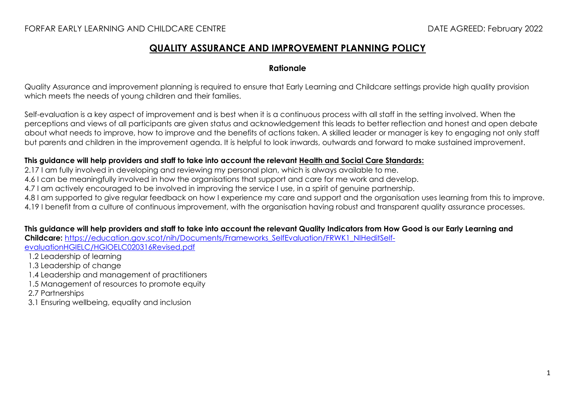# **QUALITY ASSURANCE AND IMPROVEMENT PLANNING POLICY**

## **Rationale**

Quality Assurance and improvement planning is required to ensure that Early Learning and Childcare settings provide high quality provision which meets the needs of young children and their families.

Self-evaluation is a key aspect of improvement and is best when it is a continuous process with all staff in the setting involved. When the perceptions and views of all participants are given status and acknowledgement this leads to better reflection and honest and open debate about what needs to improve, how to improve and the benefits of actions taken. A skilled leader or manager is key to engaging not only staff but parents and children in the improvement agenda. It is helpful to look inwards, outwards and forward to make sustained improvement.

#### **This guidance will help providers and staff to take into account the relevant [Health and Social Care Standards:](https://www.gov.scot/binaries/content/documents/govscot/publications/advice-and-guidance/2017/06/health-social-care-standards-support-life/documents/00520693-pdf/00520693-pdf/govscot%3Adocument/00520693.pdf)**

2.17 I am fully involved in developing and reviewing my personal plan, which is always available to me.

4.6 I can be meaningfully involved in how the organisations that support and care for me work and develop.

4.7 I am actively encouraged to be involved in improving the service I use, in a spirit of genuine partnership.

4.8 I am supported to give regular feedback on how I experience my care and support and the organisation uses learning from this to improve. 4.19 I benefit from a culture of continuous improvement, with the organisation having robust and transparent quality assurance processes.

## **This guidance will help providers and staff to take into account the relevant Quality Indicators from How Good is our Early Learning and**

**Childcare:** [https://education.gov.scot/nih/Documents/Frameworks\\_SelfEvaluation/FRWK1\\_NIHeditSelf-](https://education.gov.scot/nih/Documents/Frameworks_SelfEvaluation/FRWK1_NIHeditSelf-evaluationHGIELC/HGIOELC020316Revised.pdf)

[evaluationHGIELC/HGIOELC020316Revised.pdf](https://education.gov.scot/nih/Documents/Frameworks_SelfEvaluation/FRWK1_NIHeditSelf-evaluationHGIELC/HGIOELC020316Revised.pdf)

- 1.2 Leadership of learning
- 1.3 Leadership of change
- 1.4 Leadership and management of practitioners
- 1.5 Management of resources to promote equity
- 2.7 Partnerships
- 3.1 Ensuring wellbeing, equality and inclusion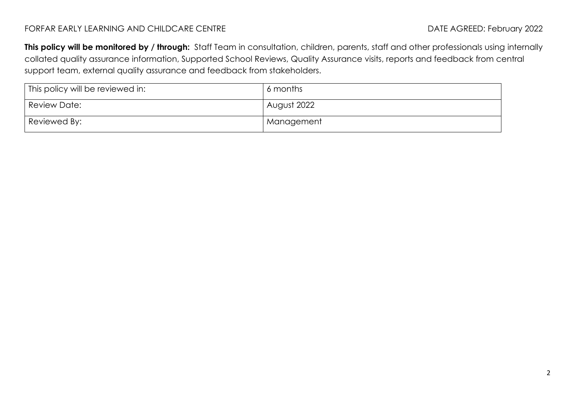## FORFAR EARLY LEARNING AND CHILDCARE CENTRE **External and the set of the CENTRE** DATE AGREED: February 2022

**This policy will be monitored by / through:** Staff Team in consultation, children, parents, staff and other professionals using internally collated quality assurance information, Supported School Reviews, Quality Assurance visits, reports and feedback from central support team, external quality assurance and feedback from stakeholders.

| This policy will be reviewed in: | 6 months    |
|----------------------------------|-------------|
| Review Date:                     | August 2022 |
| Reviewed By:                     | Management  |